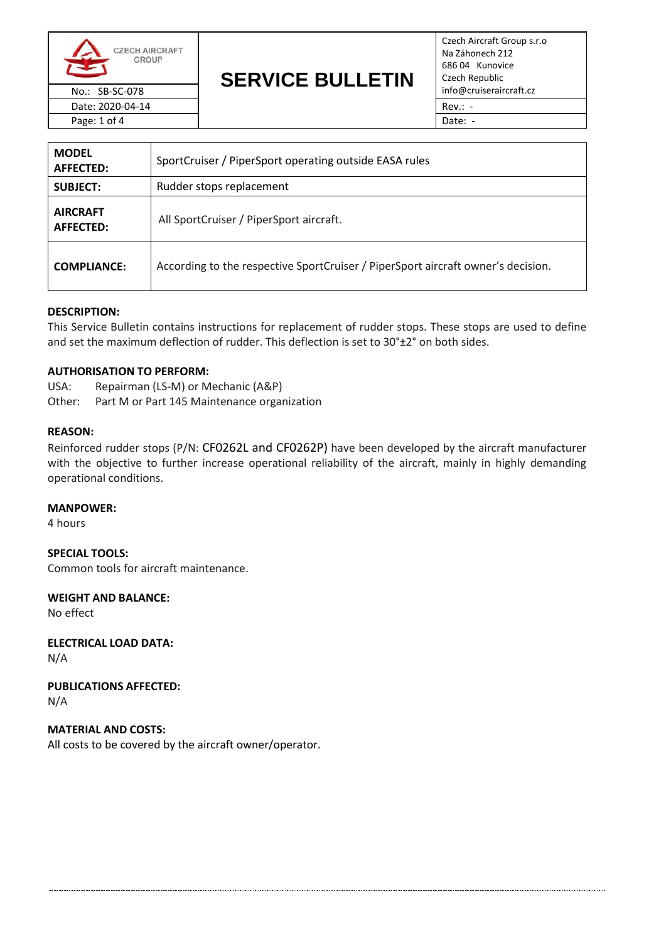

Date: 2020-04-14 Rev.: -Page: 1 of 4 Date: -

# **SERVICE BULLETIN** No.: SB-SC-078 **Info@cruiseraircraft.cz**

Czech Aircraft Group s.r.o Na Záhonech 212 686 04 Kunovice Czech Republic

| <b>MODEL</b><br><b>AFFECTED:</b> | SportCruiser / PiperSport operating outside EASA rules                           |  |
|----------------------------------|----------------------------------------------------------------------------------|--|
| <b>SUBJECT:</b>                  | Rudder stops replacement                                                         |  |
| <b>AIRCRAFT</b><br>AFFECTED:     | All SportCruiser / PiperSport aircraft.                                          |  |
| <b>COMPLIANCE:</b>               | According to the respective SportCruiser / PiperSport aircraft owner's decision. |  |

# **DESCRIPTION:**

This Service Bulletin contains instructions for replacement of rudder stops. These stops are used to define and set the maximum deflection of rudder. This deflection is set to 30°±2° on both sides.

## **AUTHORISATION TO PERFORM:**

USA: Repairman (LS-M) or Mechanic (A&P) Other: Part M or Part 145 Maintenance organization

#### **REASON:**

Reinforced rudder stops (P/N: CF0262L and CF0262P) have been developed by the aircraft manufacturer with the objective to further increase operational reliability of the aircraft, mainly in highly demanding operational conditions.

#### **MANPOWER:**

4 hours

**SPECIAL TOOLS:** Common tools for aircraft maintenance.

**WEIGHT AND BALANCE:**

No effect

**ELECTRICAL LOAD DATA:** N/A

**PUBLICATIONS AFFECTED:**

N/A

**MATERIAL AND COSTS:** All costs to be covered by the aircraft owner/operator.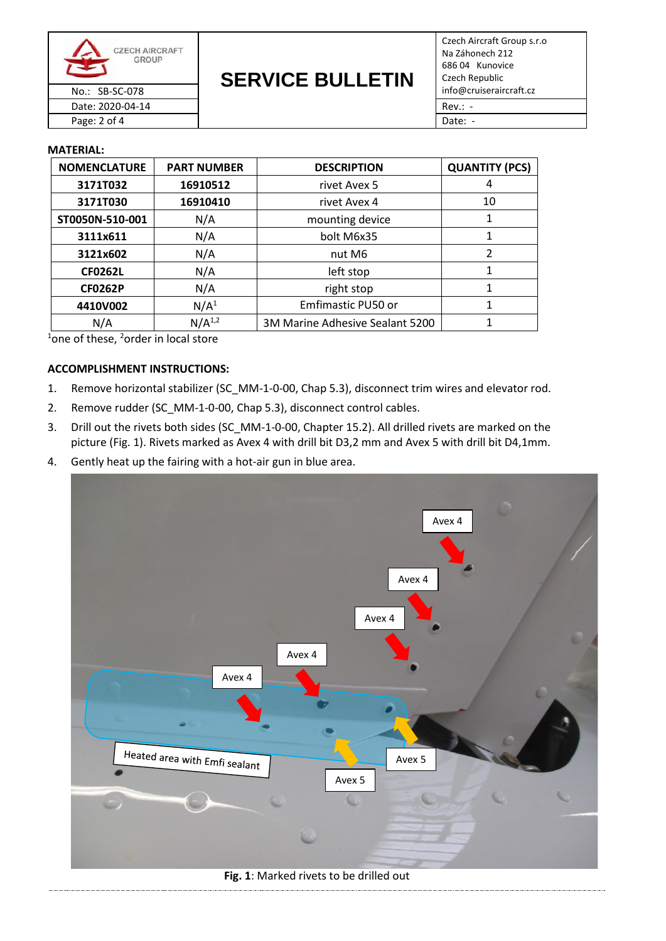

**SERVICE BULLETIN** No.: SB-SC-078 **Info@cruiseraircraft.cz** 

Czech Aircraft Group s.r.o Na Záhonech 212 686 04 Kunovice Czech Republic Date: 2020-04-14 Rev.: -

Page: 2 of 4 Date: -

#### **MATERIAL:**

| <b>NOMENCLATURE</b> | <b>PART NUMBER</b> | <b>DESCRIPTION</b>              | <b>QUANTITY (PCS)</b> |
|---------------------|--------------------|---------------------------------|-----------------------|
| 3171T032            | 16910512           | rivet Avex 5                    | 4                     |
| 3171T030            | 16910410           | rivet Avex 4                    | 10                    |
| ST0050N-510-001     | N/A                | mounting device                 |                       |
| 3111x611            | N/A                | bolt M6x35                      | 1                     |
| 3121x602            | N/A                | nut M6                          | $\overline{2}$        |
| <b>CF0262L</b>      | N/A                | left stop                       |                       |
| <b>CF0262P</b>      | N/A                | right stop                      | 1                     |
| 4410V002            | N/A <sup>1</sup>   | Emfimastic PU50 or              |                       |
| N/A                 | $N/A^{1,2}$        | 3M Marine Adhesive Sealant 5200 | 1                     |

 $1$ one of these,  $2$ order in local store

# **ACCOMPLISHMENT INSTRUCTIONS:**

- 1. Remove horizontal stabilizer (SC\_MM-1-0-00, Chap 5.3), disconnect trim wires and elevator rod.
- 2. Remove rudder (SC\_MM-1-0-00, Chap 5.3), disconnect control cables.
- 3. Drill out the rivets both sides (SC\_MM-1-0-00, Chapter 15.2). All drilled rivets are marked on the picture (Fig. 1). Rivets marked as Avex 4 with drill bit D3,2 mm and Avex 5 with drill bit D4,1mm.
- 4. Gently heat up the fairing with a hot-air gun in blue area.



**Fig. 1**: Marked rivets to be drilled out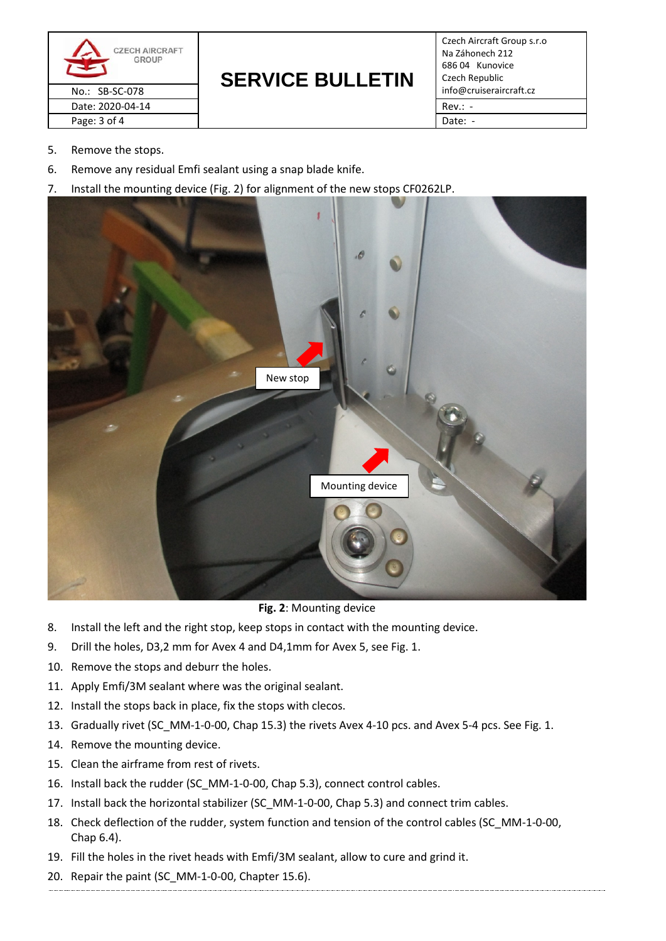

# **SERVICE BULLETIN**

Czech Aircraft Group s.r.o Na Záhonech 212 686 04 Kunovice Czech Republic

- 5. Remove the stops.
- 6. Remove any residual Emfi sealant using a snap blade knife.
- 7. Install the mounting device (Fig. 2) for alignment of the new stops CF0262LP.



**Fig. 2**: Mounting device

- 8. Install the left and the right stop, keep stops in contact with the mounting device.
- 9. Drill the holes, D3,2 mm for Avex 4 and D4,1mm for Avex 5, see Fig. 1.
- 10. Remove the stops and deburr the holes.
- 11. Apply Emfi/3M sealant where was the original sealant.
- 12. Install the stops back in place, fix the stops with clecos.
- 13. Gradually rivet (SC\_MM-1-0-00, Chap 15.3) the rivets Avex 4-10 pcs. and Avex 5-4 pcs. See Fig. 1.
- 14. Remove the mounting device.
- 15. Clean the airframe from rest of rivets.
- 16. Install back the rudder (SC\_MM-1-0-00, Chap 5.3), connect control cables.
- 17. Install back the horizontal stabilizer (SC\_MM-1-0-00, Chap 5.3) and connect trim cables.
- 18. Check deflection of the rudder, system function and tension of the control cables (SC\_MM-1-0-00, Chap 6.4).
- 19. Fill the holes in the rivet heads with Emfi/3M sealant, allow to cure and grind it.
- 20. Repair the paint (SC\_MM-1-0-00, Chapter 15.6).